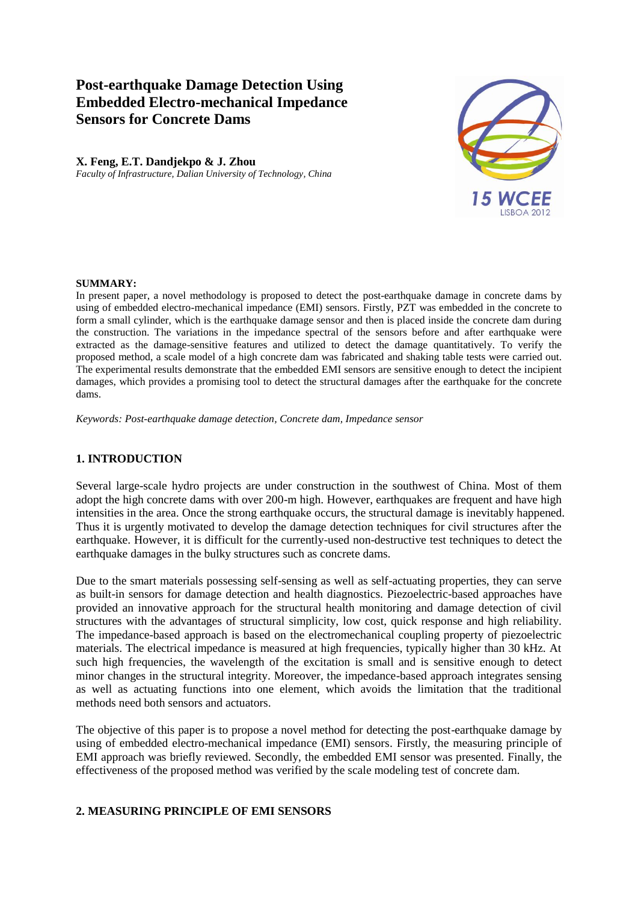# **Post-earthquake Damage Detection Using Embedded Electro-mechanical Impedance Sensors for Concrete Dams**

# **X. Feng, E.T. Dandjekpo & J. Zhou**

*Faculty of Infrastructure, Dalian University of Technology, China*



### **SUMMARY:**

In present paper, a novel methodology is proposed to detect the post-earthquake damage in concrete dams by using of embedded electro-mechanical impedance (EMI) sensors. Firstly, PZT was embedded in the concrete to form a small cylinder, which is the earthquake damage sensor and then is placed inside the concrete dam during the construction. The variations in the impedance spectral of the sensors before and after earthquake were extracted as the damage-sensitive features and utilized to detect the damage quantitatively. To verify the proposed method, a scale model of a high concrete dam was fabricated and shaking table tests were carried out. The experimental results demonstrate that the embedded EMI sensors are sensitive enough to detect the incipient damages, which provides a promising tool to detect the structural damages after the earthquake for the concrete dams.

*Keywords: Post-earthquake damage detection, Concrete dam, Impedance sensor*

### **1. INTRODUCTION**

Several large-scale hydro projects are under construction in the southwest of China. Most of them adopt the high concrete dams with over 200-m high. However, earthquakes are frequent and have high intensities in the area. Once the strong earthquake occurs, the structural damage is inevitably happened. Thus it is urgently motivated to develop the damage detection techniques for civil structures after the earthquake. However, it is difficult for the currently-used non-destructive test techniques to detect the earthquake damages in the bulky structures such as concrete dams.

Due to the smart materials possessing self-sensing as well as self-actuating properties, they can serve as built-in sensors for damage detection and health diagnostics. Piezoelectric-based approaches have provided an innovative approach for the structural health monitoring and damage detection of civil structures with the advantages of structural simplicity, low cost, quick response and high reliability. The impedance-based approach is based on the electromechanical coupling property of piezoelectric materials. The electrical impedance is measured at high frequencies, typically higher than 30 kHz. At such high frequencies, the wavelength of the excitation is small and is sensitive enough to detect minor changes in the structural integrity. Moreover, the impedance-based approach integrates sensing as well as actuating functions into one element, which avoids the limitation that the traditional methods need both sensors and actuators.

The objective of this paper is to propose a novel method for detecting the post-earthquake damage by using of embedded electro-mechanical impedance (EMI) sensors. Firstly, the measuring principle of EMI approach was briefly reviewed. Secondly, the embedded EMI sensor was presented. Finally, the effectiveness of the proposed method was verified by the scale modeling test of concrete dam.

# **2. MEASURING PRINCIPLE OF EMI SENSORS**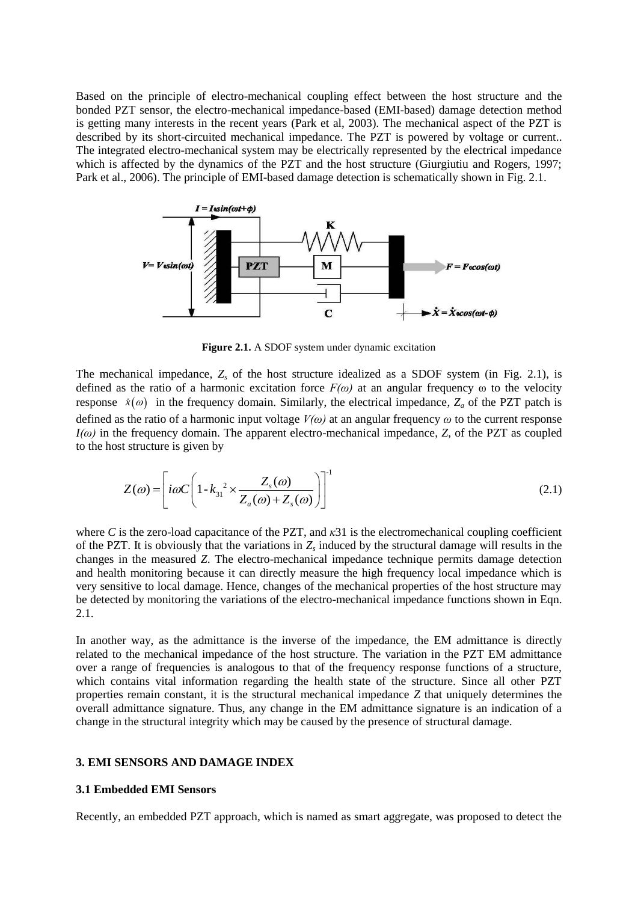Based on the principle of electro-mechanical coupling effect between the host structure and the bonded PZT sensor, the electro-mechanical impedance-based (EMI-based) damage detection method is getting many interests in the recent years (Park et al, 2003). The mechanical aspect of the PZT is described by its short-circuited mechanical impedance. The PZT is powered by voltage or current.. The integrated electro-mechanical system may be electrically represented by the electrical impedance which is affected by the dynamics of the PZT and the host structure (Giurgiutiu and Rogers, 1997; Park et al., 2006). The principle of EMI-based damage detection is schematically shown in Fig. 2.1.



**Figure 2.1.** A SDOF system under dynamic excitation

The mechanical impedance, *Z<sup>s</sup>* of the host structure idealized as a SDOF system (in Fig. 2.1), is defined as the ratio of a harmonic excitation force  $F(\omega)$  at an angular frequency  $\omega$  to the velocity response  $\dot{x}(\omega)$  in the frequency domain. Similarly, the electrical impedance,  $Z_a$  of the PZT patch is defined as the ratio of a harmonic input voltage *V(ω)* at an angular frequency *ω* to the current response *I(ω)* in the frequency domain. The apparent electro-mechanical impedance, *Z*, of the PZT as coupled to the host structure is given by

$$
Z(\omega) = \left[ i\omega C \left( 1 - k_{31}^{2} \times \frac{Z_s(\omega)}{Z_a(\omega) + Z_s(\omega)} \right) \right]^{1}
$$
\n(2.1)

where *C* is the zero-load capacitance of the PZT, and *κ*31 is the electromechanical coupling coefficient of the PZT. It is obviously that the variations in  $Z_s$  induced by the structural damage will results in the changes in the measured *Z*. The electro-mechanical impedance technique permits damage detection and health monitoring because it can directly measure the high frequency local impedance which is very sensitive to local damage. Hence, changes of the mechanical properties of the host structure may be detected by monitoring the variations of the electro-mechanical impedance functions shown in Eqn. 2.1.

In another way, as the admittance is the inverse of the impedance, the EM admittance is directly related to the mechanical impedance of the host structure. The variation in the PZT EM admittance over a range of frequencies is analogous to that of the frequency response functions of a structure, which contains vital information regarding the health state of the structure. Since all other PZT properties remain constant, it is the structural mechanical impedance *Z* that uniquely determines the overall admittance signature. Thus, any change in the EM admittance signature is an indication of a change in the structural integrity which may be caused by the presence of structural damage.

### **3. EMI SENSORS AND DAMAGE INDEX**

#### **3.1 Embedded EMI Sensors**

Recently, an embedded PZT approach, which is named as smart aggregate, was proposed to detect the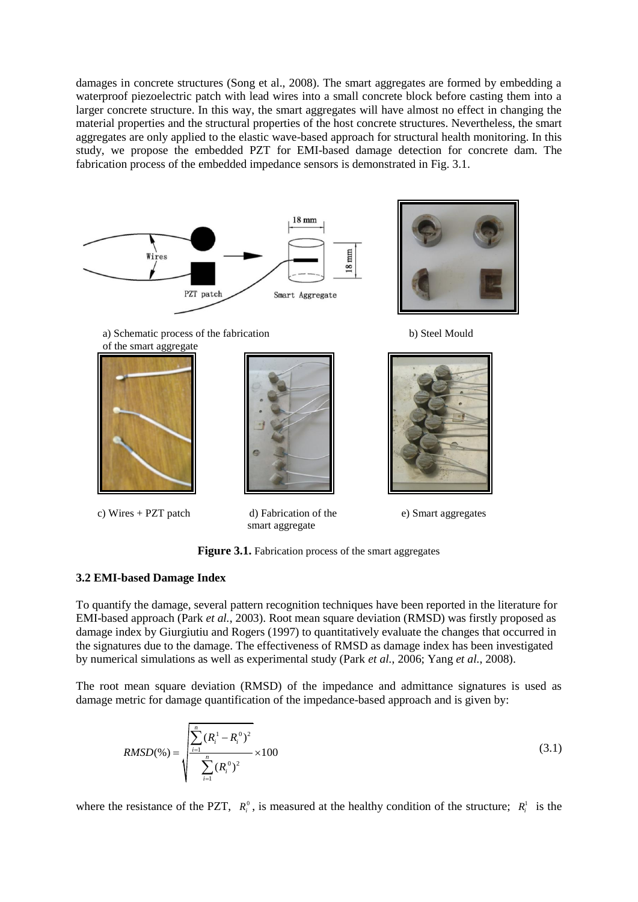damages in concrete structures (Song et al., 2008). The smart aggregates are formed by embedding a waterproof piezoelectric patch with lead wires into a small concrete block before casting them into a larger concrete structure. In this way, the smart aggregates will have almost no effect in changing the material properties and the structural properties of the host concrete structures. Nevertheless, the smart aggregates are only applied to the elastic wave-based approach for structural health monitoring. In this study, we propose the embedded PZT for EMI-based damage detection for concrete dam. The fabrication process of the embedded impedance sensors is demonstrated in Fig. 3.1.



a) Schematic process of the fabrication b) Steel Mould of the smart aggregate



c) Wires + PZT patch d) Fabrication of the e) Smart aggregates



smart aggregate



Figure 3.1. Fabrication process of the smart aggregates

# **3.2 EMI-based Damage Index**

To quantify the damage, several pattern recognition techniques have been reported in the literature for EMI-based approach (Park *et al.*, 2003). Root mean square deviation (RMSD) was firstly proposed as damage index by Giurgiutiu and Rogers (1997) to quantitatively evaluate the changes that occurred in the signatures due to the damage. The effectiveness of RMSD as damage index has been investigated by numerical simulations as well as experimental study (Park *et al.*, 2006; Yang *et al.*, 2008).

The root mean square deviation (RMSD) of the impedance and admittance signatures is used as damage metric for damage quantification of the impedance-based approach and is given by:

$$
RMSD(\%) = \sqrt{\frac{\sum_{i=1}^{n} (R_i^1 - R_i^0)^2}{\sum_{i=1}^{n} (R_i^0)^2}} \times 100
$$
\n(3.1)

where the resistance of the PZT,  $R_i^0$ , is measured at the healthy condition of the structure;  $R_i^1$  is the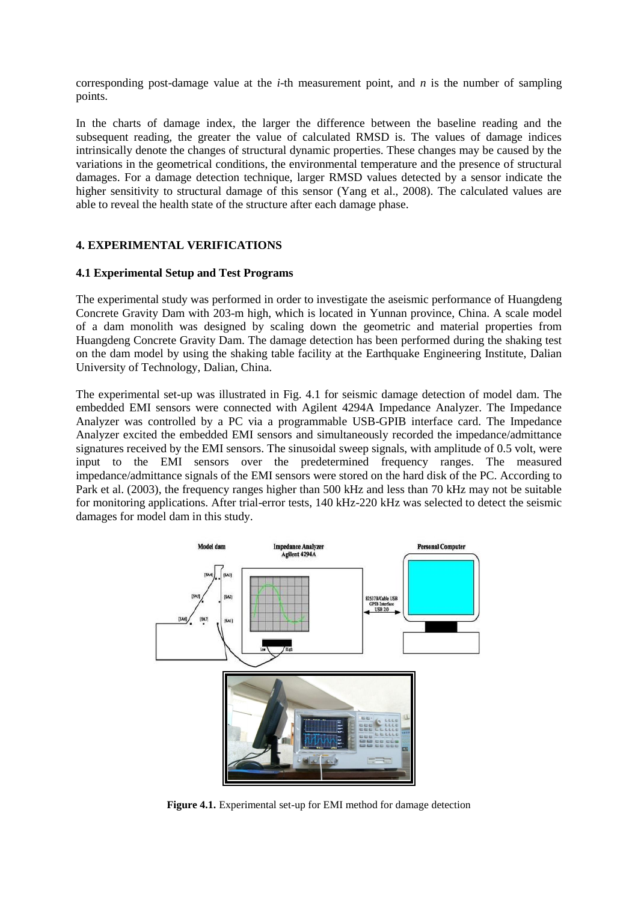corresponding post-damage value at the *i*-th measurement point, and *n* is the number of sampling points.

In the charts of damage index, the larger the difference between the baseline reading and the subsequent reading, the greater the value of calculated RMSD is. The values of damage indices intrinsically denote the changes of structural dynamic properties. These changes may be caused by the variations in the geometrical conditions, the environmental temperature and the presence of structural damages. For a damage detection technique, larger RMSD values detected by a sensor indicate the higher sensitivity to structural damage of this sensor (Yang et al., 2008). The calculated values are able to reveal the health state of the structure after each damage phase.

### **4. EXPERIMENTAL VERIFICATIONS**

### **4.1 Experimental Setup and Test Programs**

The experimental study was performed in order to investigate the aseismic performance of Huangdeng Concrete Gravity Dam with 203-m high, which is located in Yunnan province, China. A scale model of a dam monolith was designed by scaling down the geometric and material properties from Huangdeng Concrete Gravity Dam. The damage detection has been performed during the shaking test on the dam model by using the shaking table facility at the Earthquake Engineering Institute, Dalian University of Technology, Dalian, China.

The experimental set-up was illustrated in Fig. 4.1 for seismic damage detection of model dam. The embedded EMI sensors were connected with Agilent 4294A Impedance Analyzer. The Impedance Analyzer was controlled by a PC via a programmable USB-GPIB interface card. The Impedance Analyzer excited the embedded EMI sensors and simultaneously recorded the impedance/admittance signatures received by the EMI sensors. The sinusoidal sweep signals, with amplitude of 0.5 volt, were input to the EMI sensors over the predetermined frequency ranges. The measured impedance/admittance signals of the EMI sensors were stored on the hard disk of the PC. According to Park et al. (2003), the frequency ranges higher than 500 kHz and less than 70 kHz may not be suitable for monitoring applications. After trial-error tests, 140 kHz-220 kHz was selected to detect the seismic damages for model dam in this study.



**Figure 4.1.** Experimental set-up for EMI method for damage detection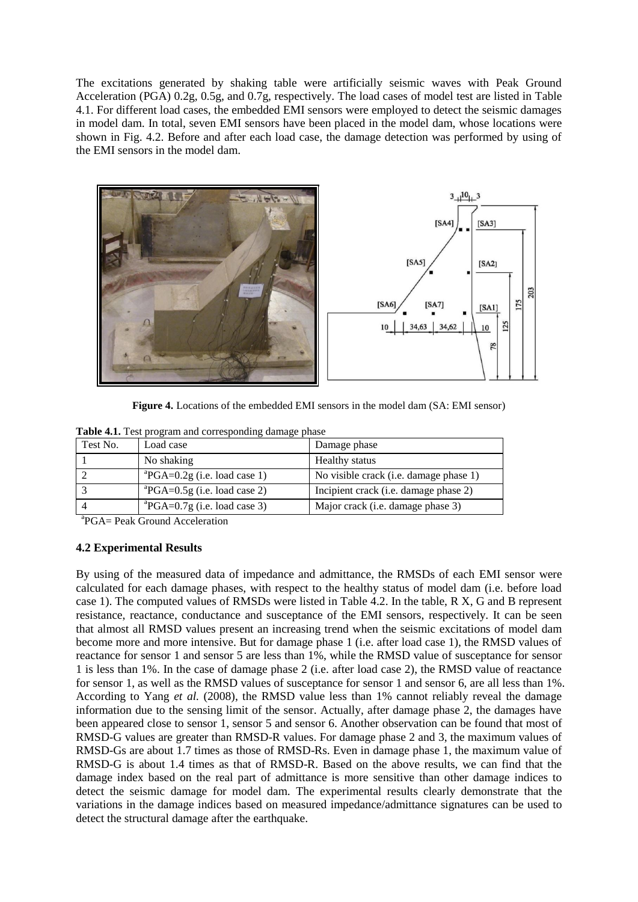The excitations generated by shaking table were artificially seismic waves with Peak Ground Acceleration (PGA) 0.2g, 0.5g, and 0.7g, respectively. The load cases of model test are listed in Table 4.1. For different load cases, the embedded EMI sensors were employed to detect the seismic damages in model dam. In total, seven EMI sensors have been placed in the model dam, whose locations were shown in Fig. 4.2. Before and after each load case, the damage detection was performed by using of the EMI sensors in the model dam.



**Figure 4.** Locations of the embedded EMI sensors in the model dam (SA: EMI sensor)

|  | Table 4.1. Test program and corresponding damage phase |
|--|--------------------------------------------------------|
|  |                                                        |

| Test No. | Load case                                                | Damage phase                           |
|----------|----------------------------------------------------------|----------------------------------------|
|          | No shaking                                               | <b>Healthy status</b>                  |
|          | ${}^{\text{a}}\text{PGA}=0.2\text{g}$ (i.e. load case 1) | No visible crack (i.e. damage phase 1) |
|          | ${}^{a}PGA=0.5g$ (i.e. load case 2)                      | Incipient crack (i.e. damage phase 2)  |
|          | ${}^{\text{a}}\text{PGA}=0.7\text{g}$ (i.e. load case 3) | Major crack (i.e. damage phase 3)      |

a PGA= Peak Ground Acceleration

### **4.2 Experimental Results**

By using of the measured data of impedance and admittance, the RMSDs of each EMI sensor were calculated for each damage phases, with respect to the healthy status of model dam (i.e. before load case 1). The computed values of RMSDs were listed in Table 4.2. In the table, R X, G and B represent resistance, reactance, conductance and susceptance of the EMI sensors, respectively. It can be seen that almost all RMSD values present an increasing trend when the seismic excitations of model dam become more and more intensive. But for damage phase 1 (i.e. after load case 1), the RMSD values of reactance for sensor 1 and sensor 5 are less than 1%, while the RMSD value of susceptance for sensor 1 is less than 1%. In the case of damage phase 2 (i.e. after load case 2), the RMSD value of reactance for sensor 1, as well as the RMSD values of susceptance for sensor 1 and sensor 6, are all less than 1%. According to Yang *et al.* (2008), the RMSD value less than 1% cannot reliably reveal the damage information due to the sensing limit of the sensor. Actually, after damage phase 2, the damages have been appeared close to sensor 1, sensor 5 and sensor 6. Another observation can be found that most of RMSD-G values are greater than RMSD-R values. For damage phase 2 and 3, the maximum values of RMSD-Gs are about 1.7 times as those of RMSD-Rs. Even in damage phase 1, the maximum value of RMSD-G is about 1.4 times as that of RMSD-R. Based on the above results, we can find that the damage index based on the real part of admittance is more sensitive than other damage indices to detect the seismic damage for model dam. The experimental results clearly demonstrate that the variations in the damage indices based on measured impedance/admittance signatures can be used to detect the structural damage after the earthquake.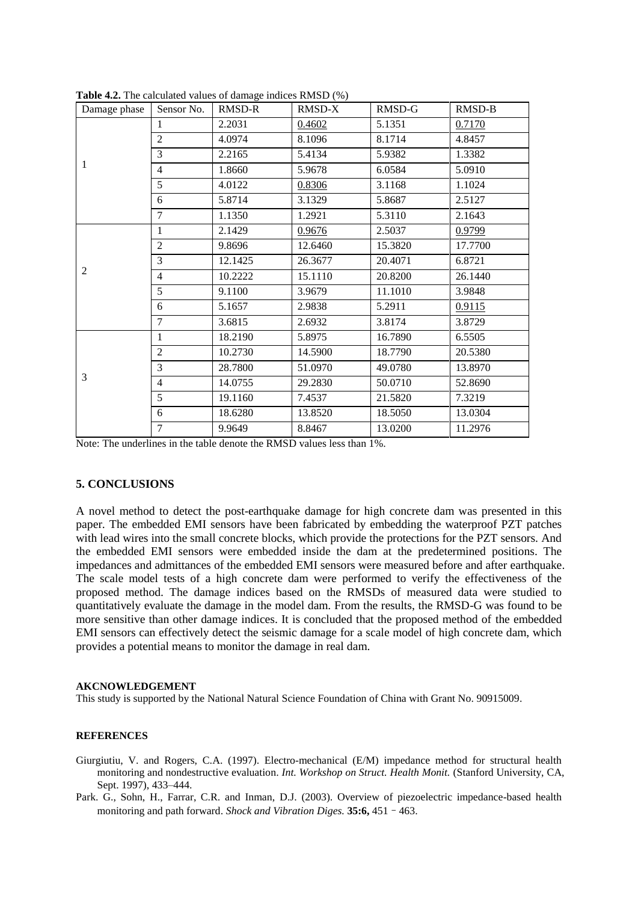| Damage phase   | Sensor No.     | RMSD-R  | RMSD-X  | RMSD-G  | RMSD-B  |
|----------------|----------------|---------|---------|---------|---------|
| 1              | 1              | 2.2031  | 0.4602  | 5.1351  | 0.7170  |
|                | $\overline{2}$ | 4.0974  | 8.1096  | 8.1714  | 4.8457  |
|                | 3              | 2.2165  | 5.4134  | 5.9382  | 1.3382  |
|                | $\overline{4}$ | 1.8660  | 5.9678  | 6.0584  | 5.0910  |
|                | 5              | 4.0122  | 0.8306  | 3.1168  | 1.1024  |
|                | 6              | 5.8714  | 3.1329  | 5.8687  | 2.5127  |
|                | $\tau$         | 1.1350  | 1.2921  | 5.3110  | 2.1643  |
| $\overline{2}$ | 1              | 2.1429  | 0.9676  | 2.5037  | 0.9799  |
|                | $\overline{2}$ | 9.8696  | 12.6460 | 15.3820 | 17.7700 |
|                | 3              | 12.1425 | 26.3677 | 20.4071 | 6.8721  |
|                | $\overline{4}$ | 10.2222 | 15.1110 | 20.8200 | 26.1440 |
|                | 5              | 9.1100  | 3.9679  | 11.1010 | 3.9848  |
|                | 6              | 5.1657  | 2.9838  | 5.2911  | 0.9115  |
|                | $\overline{7}$ | 3.6815  | 2.6932  | 3.8174  | 3.8729  |
| 3              | 1              | 18.2190 | 5.8975  | 16.7890 | 6.5505  |
|                | $\overline{2}$ | 10.2730 | 14.5900 | 18.7790 | 20.5380 |
|                | 3              | 28.7800 | 51.0970 | 49.0780 | 13.8970 |
|                | $\overline{4}$ | 14.0755 | 29.2830 | 50.0710 | 52.8690 |
|                | 5              | 19.1160 | 7.4537  | 21.5820 | 7.3219  |
|                | 6              | 18.6280 | 13.8520 | 18.5050 | 13.0304 |
|                | $\overline{7}$ | 9.9649  | 8.8467  | 13.0200 | 11.2976 |

**Table 4.2.** The calculated values of damage indices RMSD (%)

Note: The underlines in the table denote the RMSD values less than 1%.

### **5. CONCLUSIONS**

A novel method to detect the post-earthquake damage for high concrete dam was presented in this paper. The embedded EMI sensors have been fabricated by embedding the waterproof PZT patches with lead wires into the small concrete blocks, which provide the protections for the PZT sensors. And the embedded EMI sensors were embedded inside the dam at the predetermined positions. The impedances and admittances of the embedded EMI sensors were measured before and after earthquake. The scale model tests of a high concrete dam were performed to verify the effectiveness of the proposed method. The damage indices based on the RMSDs of measured data were studied to quantitatively evaluate the damage in the model dam. From the results, the RMSD-G was found to be more sensitive than other damage indices. It is concluded that the proposed method of the embedded EMI sensors can effectively detect the seismic damage for a scale model of high concrete dam, which provides a potential means to monitor the damage in real dam.

#### **AKCNOWLEDGEMENT**

This study is supported by the National Natural Science Foundation of China with Grant No. 90915009.

### **REFERENCES**

- Giurgiutiu, V. and Rogers, C.A. (1997). Electro-mechanical (E/M) impedance method for structural health monitoring and nondestructive evaluation. *Int. Workshop on Struct. Health Monit.* (Stanford University, CA, Sept. 1997), 433–444.
- Park. G., Sohn, H., Farrar, C.R. and Inman, D.J. (2003). Overview of piezoelectric impedance-based health monitoring and path forward. *Shock and Vibration Diges.* **35:6,** 451–463.